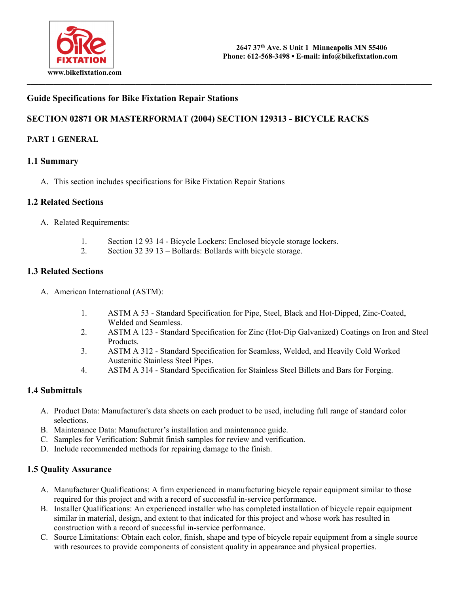

### **Guide Specifications for Bike Fixtation Repair Stations**

# **SECTION 02871 OR MASTERFORMAT (2004) SECTION 129313 - BICYCLE RACKS**

#### **PART 1 GENERAL**

#### **1.1 Summary**

A. This section includes specifications for Bike Fixtation Repair Stations

#### **1.2 Related Sections**

- A. Related Requirements:
	- 1. Section 12 93 14 Bicycle Lockers: Enclosed bicycle storage lockers.
	- 2. Section 32 39 13 Bollards: Bollards with bicycle storage.

#### **1.3 Related Sections**

- A. American International (ASTM):
	- 1. ASTM A 53 Standard Specification for Pipe, Steel, Black and Hot-Dipped, Zinc-Coated, Welded and Seamless.
	- 2. ASTM A 123 Standard Specification for Zinc (Hot-Dip Galvanized) Coatings on Iron and Steel Products.
	- 3. ASTM A 312 Standard Specification for Seamless, Welded, and Heavily Cold Worked Austenitic Stainless Steel Pipes.
	- 4. ASTM A 314 Standard Specification for Stainless Steel Billets and Bars for Forging.

#### **1.4 Submittals**

- A. Product Data: Manufacturer's data sheets on each product to be used, including full range of standard color selections.
- B. Maintenance Data: Manufacturer's installation and maintenance guide.
- C. Samples for Verification: Submit finish samples for review and verification.
- D. Include recommended methods for repairing damage to the finish.

#### **1.5 Quality Assurance**

- A. Manufacturer Qualifications: A firm experienced in manufacturing bicycle repair equipment similar to those required for this project and with a record of successful in-service performance.
- B. Installer Qualifications: An experienced installer who has completed installation of bicycle repair equipment similar in material, design, and extent to that indicated for this project and whose work has resulted in construction with a record of successful in-service performance.
- C. Source Limitations: Obtain each color, finish, shape and type of bicycle repair equipment from a single source with resources to provide components of consistent quality in appearance and physical properties.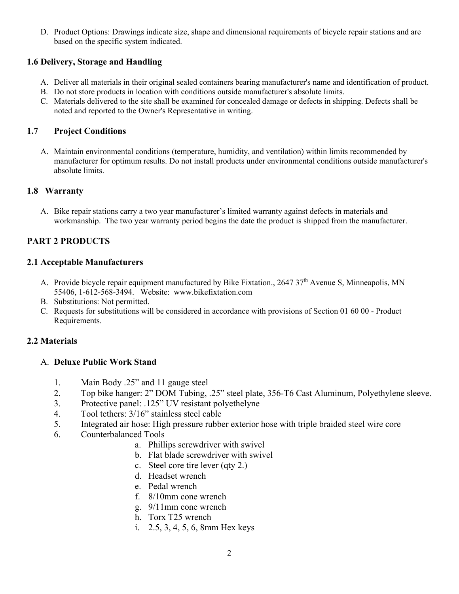D. Product Options: Drawings indicate size, shape and dimensional requirements of bicycle repair stations and are based on the specific system indicated.

# **1.6 Delivery, Storage and Handling**

- A. Deliver all materials in their original sealed containers bearing manufacturer's name and identification of product.
- B. Do not store products in location with conditions outside manufacturer's absolute limits.
- C. Materials delivered to the site shall be examined for concealed damage or defects in shipping. Defects shall be noted and reported to the Owner's Representative in writing.

# **1.7 Project Conditions**

A. Maintain environmental conditions (temperature, humidity, and ventilation) within limits recommended by manufacturer for optimum results. Do not install products under environmental conditions outside manufacturer's absolute limits.

# **1.8 Warranty**

A. Bike repair stations carry a two year manufacturer's limited warranty against defects in materials and workmanship. The two year warranty period begins the date the product is shipped from the manufacturer.

# **PART 2 PRODUCTS**

# **2.1 Acceptable Manufacturers**

- A. Provide bicycle repair equipment manufactured by Bike Fixtation., 2647 37<sup>th</sup> Avenue S, Minneapolis, MN 55406, 1-612-568-3494. Website: www.bikefixtation.com
- B. Substitutions: Not permitted.
- C. Requests for substitutions will be considered in accordance with provisions of Section 01 60 00 Product Requirements.

# **2.2 Materials**

# A. **Deluxe Public Work Stand**

- 1. Main Body .25" and 11 gauge steel
- 2. Top bike hanger: 2" DOM Tubing, .25" steel plate, 356-T6 Cast Aluminum, Polyethylene sleeve.
- 3. Protective panel: .125" UV resistant polyethelyne
- 4. Tool tethers: 3/16" stainless steel cable
- 5. Integrated air hose: High pressure rubber exterior hose with triple braided steel wire core
- 6. Counterbalanced Tools
	- a. Phillips screwdriver with swivel
		- b. Flat blade screwdriver with swivel
		- c. Steel core tire lever (qty 2.)
		- d. Headset wrench
		- e. Pedal wrench
		- f. 8/10mm cone wrench
		- g. 9/11mm cone wrench
		- h. Torx T25 wrench
		- i. 2.5, 3, 4, 5, 6, 8mm Hex keys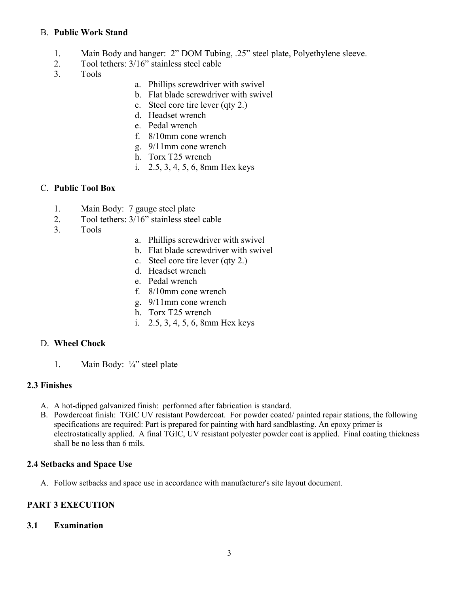### B. **Public Work Stand**

- 1. Main Body and hanger: 2" DOM Tubing, .25" steel plate, Polyethylene sleeve.
- 2. Tool tethers: 3/16" stainless steel cable
- 3. Tools
- a. Phillips screwdriver with swivel
- b. Flat blade screwdriver with swivel
- c. Steel core tire lever (qty 2.)
- d. Headset wrench
- e. Pedal wrench
- f. 8/10mm cone wrench
- g. 9/11mm cone wrench
- h. Torx T25 wrench
- i. 2.5, 3, 4, 5, 6, 8mm Hex keys

### C. **Public Tool Box**

- 1. Main Body: 7 gauge steel plate
- 2. Tool tethers: 3/16" stainless steel cable
- 3. Tools
- a. Phillips screwdriver with swivel
- b. Flat blade screwdriver with swivel
- c. Steel core tire lever (qty 2.)
- d. Headset wrench
- e. Pedal wrench
- f. 8/10mm cone wrench
- g. 9/11mm cone wrench
- h. Torx T25 wrench
- i. 2.5, 3, 4, 5, 6, 8mm Hex keys

### D. **Wheel Chock**

1. Main Body: ¼" steel plate

#### **2.3 Finishes**

- A. A hot-dipped galvanized finish: performed after fabrication is standard.
- B. Powdercoat finish: TGIC UV resistant Powdercoat. For powder coated/ painted repair stations, the following specifications are required: Part is prepared for painting with hard sandblasting. An epoxy primer is electrostatically applied. A final TGIC, UV resistant polyester powder coat is applied. Final coating thickness shall be no less than 6 mils.

#### **2.4 Setbacks and Space Use**

A. Follow setbacks and space use in accordance with manufacturer's site layout document.

# **PART 3 EXECUTION**

#### **3.1 Examination**